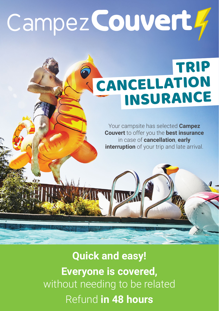# Campez Couvert 4

## TRIP **CANCELLATION**

Your campsite has selected **Campez Couvert** to offer you the **best insurance** in case of **cancellation**, **early interruption** of your trip and late arrival.

### **Quick and easy! Everyone is covered,** without needing to be related Refund **in 48 hours**

WINDS